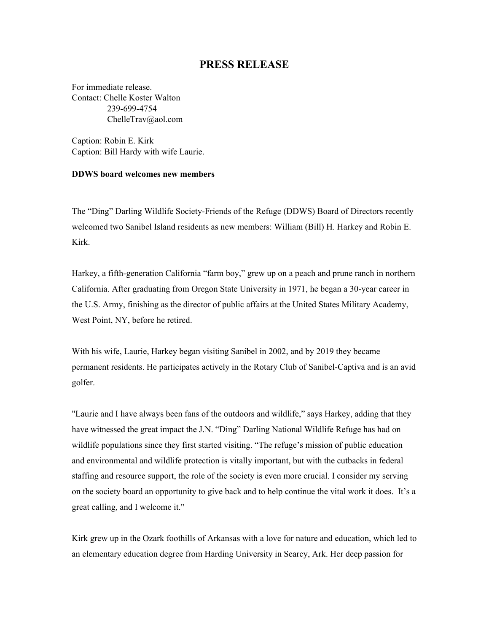## **PRESS RELEASE**

For immediate release. Contact: Chelle Koster Walton 239-699-4754 [ChelleTrav@aol.com](mailto:ChelleTrav@aol.com)

Caption: Robin E. Kirk Caption: Bill Hardy with wife Laurie.

## **DDWS board welcomes new members**

The "Ding" Darling Wildlife Society-Friends of the Refuge (DDWS) Board of Directors recently welcomed two Sanibel Island residents as new members: William (Bill) H. Harkey and Robin E. Kirk.

Harkey, a fifth-generation California "farm boy," grew up on a peach and prune ranch in northern California. After graduating from Oregon State University in 1971, he began a 30-year career in the U.S. Army, finishing as the director of public affairs at the United States Military Academy, West Point, NY, before he retired.

With his wife, Laurie, Harkey began visiting Sanibel in 2002, and by 2019 they became permanent residents. He participates actively in the Rotary Club of Sanibel-Captiva and is an avid golfer.

"Laurie and I have always been fans of the outdoors and wildlife," says Harkey, adding that they have witnessed the great impact the J.N. "Ding" Darling National Wildlife Refuge has had on wildlife populations since they first started visiting. "The refuge's mission of public education and environmental and wildlife protection is vitally important, but with the cutbacks in federal staffing and resource support, the role of the society is even more crucial. I consider my serving on the society board an opportunity to give back and to help continue the vital work it does. It's a great calling, and I welcome it."

Kirk grew up in the Ozark foothills of Arkansas with a love for nature and education, which led to an elementary education degree from Harding University in Searcy, Ark. Her deep passion for